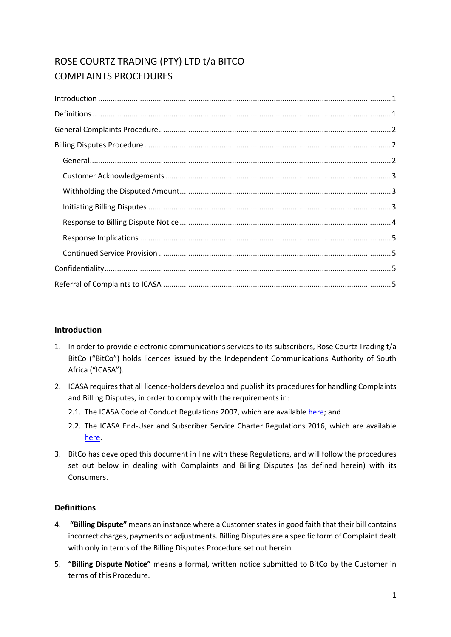# ROSE COURTZ TRADING (PTY) LTD t/a BITCO COMPLAINTS PROCEDURES

# <span id="page-0-0"></span>**Introduction**

- 1. In order to provide electronic communications services to its subscribers, Rose Courtz Trading t/a BitCo ("BitCo") holds licences issued by the Independent Communications Authority of South Africa ("ICASA").
- 2. ICASA requires that all licence-holders develop and publish its procedures for handling Complaints and Billing Disputes, in order to comply with the requirements in:
	- 2.1. The ICASA Code of Conduct Regulations 2007, which are available [here;](http://www.ellipsis.co.za/wp-content/uploads/2017/04/Code_of_Conduct_Regulations_2007.pdf) and
	- 2.2. The ICASA End-User and Subscriber Service Charter Regulations 2016, which are available [here.](http://www.ellipsis.co.za/wp-content/uploads/2015/10/EUSSC-Regulations-2016.pdf)
- 3. BitCo has developed this document in line with these Regulations, and will follow the procedures set out below in dealing with Complaints and Billing Disputes (as defined herein) with its Consumers.

# <span id="page-0-1"></span>**Definitions**

- 4. **"Billing Dispute"** means an instance where a Customer states in good faith that their bill contains incorrect charges, payments or adjustments. Billing Disputes are a specific form of Complaint dealt with only in terms of the Billing Disputes Procedure set out herein.
- 5. **"Billing Dispute Notice"** means a formal, written notice submitted to BitCo by the Customer in terms of this Procedure.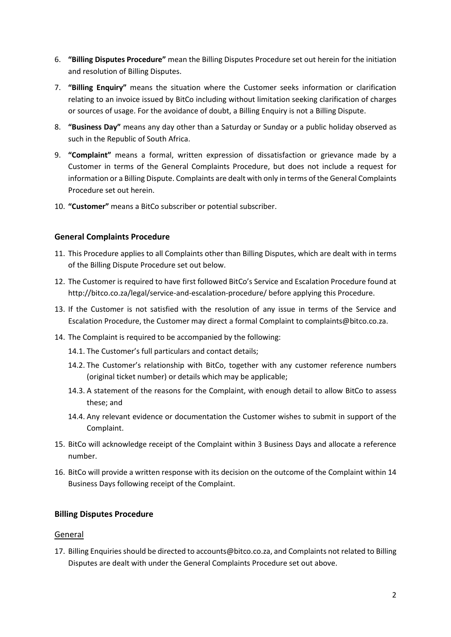- 6. **"Billing Disputes Procedure"** mean the Billing Disputes Procedure set out herein for the initiation and resolution of Billing Disputes.
- 7. **"Billing Enquiry"** means the situation where the Customer seeks information or clarification relating to an invoice issued by BitCo including without limitation seeking clarification of charges or sources of usage. For the avoidance of doubt, a Billing Enquiry is not a Billing Dispute.
- 8. **"Business Day"** means any day other than a Saturday or Sunday or a public holiday observed as such in the Republic of South Africa.
- 9. **"Complaint"** means a formal, written expression of dissatisfaction or grievance made by a Customer in terms of the General Complaints Procedure, but does not include a request for information or a Billing Dispute. Complaints are dealt with only in terms of the General Complaints Procedure set out herein.
- <span id="page-1-0"></span>10. **"Customer"** means a BitCo subscriber or potential subscriber.

# **General Complaints Procedure**

- 11. This Procedure applies to all Complaints other than Billing Disputes, which are dealt with in terms of the Billing Dispute Procedure set out below.
- 12. The Customer is required to have first followed BitCo's Service and Escalation Procedure found at http://bitco.co.za/legal/service-and-escalation-procedure/ before applying this Procedure.
- 13. If the Customer is not satisfied with the resolution of any issue in terms of the Service and Escalation Procedure, the Customer may direct a formal Complaint to complaints@bitco.co.za.
- 14. The Complaint is required to be accompanied by the following:
	- 14.1. The Customer's full particulars and contact details;
	- 14.2. The Customer's relationship with BitCo, together with any customer reference numbers (original ticket number) or details which may be applicable;
	- 14.3. A statement of the reasons for the Complaint, with enough detail to allow BitCo to assess these; and
	- 14.4. Any relevant evidence or documentation the Customer wishes to submit in support of the Complaint.
- 15. BitCo will acknowledge receipt of the Complaint within 3 Business Days and allocate a reference number.
- 16. BitCo will provide a written response with its decision on the outcome of the Complaint within 14 Business Days following receipt of the Complaint.

# <span id="page-1-1"></span>**Billing Disputes Procedure**

#### <span id="page-1-2"></span>General

17. Billing Enquiries should be directed to accounts@bitco.co.za, and Complaints not related to Billing Disputes are dealt with under the General Complaints Procedure set out above.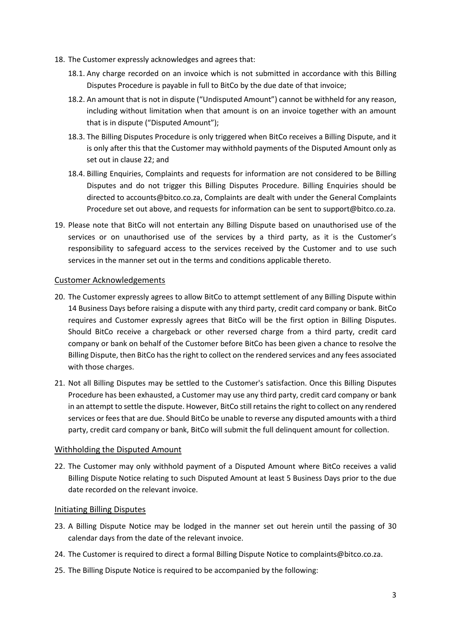- 18. The Customer expressly acknowledges and agrees that:
	- 18.1. Any charge recorded on an invoice which is not submitted in accordance with this Billing Disputes Procedure is payable in full to BitCo by the due date of that invoice;
	- 18.2. An amount that is not in dispute ("Undisputed Amount") cannot be withheld for any reason, including without limitation when that amount is on an invoice together with an amount that is in dispute ("Disputed Amount");
	- 18.3. The Billing Disputes Procedure is only triggered when BitCo receives a Billing Dispute, and it is only after this that the Customer may withhold payments of the Disputed Amount only as set out in claus[e 22;](#page-2-3) and
	- 18.4. Billing Enquiries, Complaints and requests for information are not considered to be Billing Disputes and do not trigger this Billing Disputes Procedure. Billing Enquiries should be directed to accounts@bitco.co.za, Complaints are dealt with under the General Complaints Procedure set out above, and requests for information can be sent to support@bitco.co.za.
- 19. Please note that BitCo will not entertain any Billing Dispute based on unauthorised use of the services or on unauthorised use of the services by a third party, as it is the Customer's responsibility to safeguard access to the services received by the Customer and to use such services in the manner set out in the terms and conditions applicable thereto.

# <span id="page-2-0"></span>Customer Acknowledgements

- 20. The Customer expressly agrees to allow BitCo to attempt settlement of any Billing Dispute within 14 Business Days before raising a dispute with any third party, credit card company or bank. BitCo requires and Customer expressly agrees that BitCo will be the first option in Billing Disputes. Should BitCo receive a chargeback or other reversed charge from a third party, credit card company or bank on behalf of the Customer before BitCo has been given a chance to resolve the Billing Dispute, then BitCo has the right to collect on the rendered services and any fees associated with those charges.
- 21. Not all Billing Disputes may be settled to the Customer's satisfaction. Once this Billing Disputes Procedure has been exhausted, a Customer may use any third party, credit card company or bank in an attempt to settle the dispute. However, BitCo still retains the right to collect on any rendered services or fees that are due. Should BitCo be unable to reverse any disputed amounts with a third party, credit card company or bank, BitCo will submit the full delinquent amount for collection.

# <span id="page-2-1"></span>Withholding the Disputed Amount

<span id="page-2-3"></span>22. The Customer may only withhold payment of a Disputed Amount where BitCo receives a valid Billing Dispute Notice relating to such Disputed Amount at least 5 Business Days prior to the due date recorded on the relevant invoice.

#### <span id="page-2-2"></span>Initiating Billing Disputes

- 23. A Billing Dispute Notice may be lodged in the manner set out herein until the passing of 30 calendar days from the date of the relevant invoice.
- <span id="page-2-5"></span>24. The Customer is required to direct a formal Billing Dispute Notice to complaints@bitco.co.za.
- <span id="page-2-4"></span>25. The Billing Dispute Notice is required to be accompanied by the following: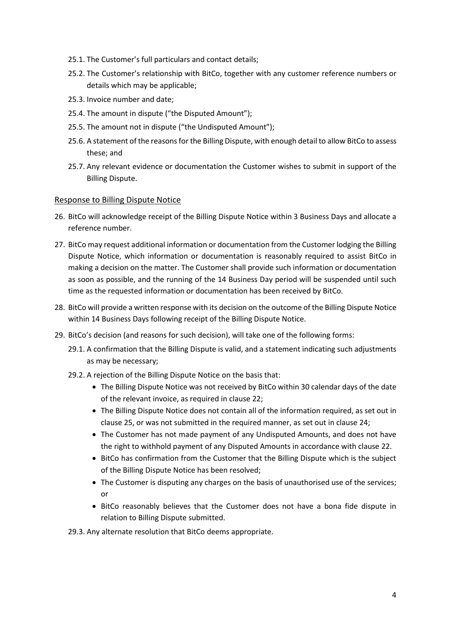- 25.1. The Customer's full particulars and contact details;
- 25.2. The Customer's relationship with BitCo, together with any customer reference numbers or details which may be applicable;
- 25.3. Invoice number and date;
- 25.4. The amount in dispute ("the Disputed Amount");
- 25.5. The amount not in dispute ("the Undisputed Amount");
- 25.6. A statement of the reasons for the Billing Dispute, with enough detail to allow BitCo to assess these; and
- 25.7. Any relevant evidence or documentation the Customer wishes to submit in support of the Billing Dispute.

#### <span id="page-3-0"></span>Response to Billing Dispute Notice

- 26. BitCo will acknowledge receipt of the Billing Dispute Notice within 3 Business Days and allocate a reference number.
- 27. BitCo may request additional information or documentation from the Customer lodging the Billing Dispute Notice, which information or documentation is reasonably required to assist BitCo in making a decision on the matter. The Customer shall provide such information or documentation as soon as possible, and the running of the 14 Business Day period will be suspended until such time as the requested information or documentation has been received by BitCo.
- 28. BitCo will provide a written response with its decision on the outcome of the Billing Dispute Notice within 14 Business Days following receipt of the Billing Dispute Notice.
- <span id="page-3-1"></span>29. BitCo's decision (and reasons for such decision), will take one of the following forms:
	- 29.1. A confirmation that the Billing Dispute is valid, and a statement indicating such adjustments as may be necessary;
	- 29.2. A rejection of the Billing Dispute Notice on the basis that:
		- The Billing Dispute Notice was not received by BitCo within 30 calendar days of the date of the relevant invoice, as required in clause [22;](#page-2-3)
		- The Billing Dispute Notice does not contain all of the information required, as set out in claus[e 25,](#page-2-4) or was not submitted in the required manner, as set out in claus[e 24;](#page-2-5)
		- The Customer has not made payment of any Undisputed Amounts, and does not have the right to withhold payment of any Disputed Amounts in accordance with clause [22.](#page-2-3)
		- BitCo has confirmation from the Customer that the Billing Dispute which is the subject of the Billing Dispute Notice has been resolved;
		- The Customer is disputing any charges on the basis of unauthorised use of the services; or
		- BitCo reasonably believes that the Customer does not have a bona fide dispute in relation to Billing Dispute submitted.

29.3. Any alternate resolution that BitCo deems appropriate.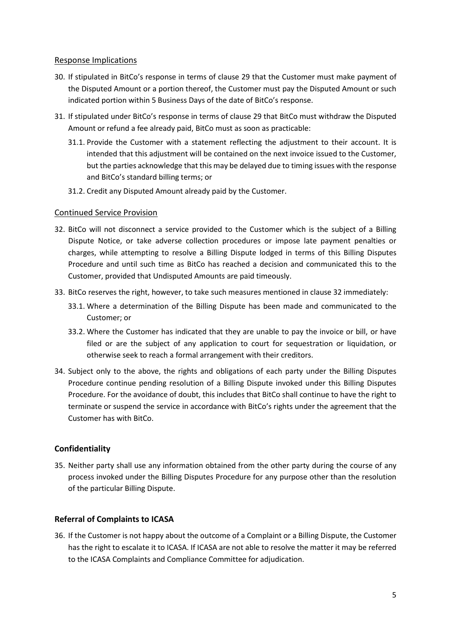#### <span id="page-4-0"></span>Response Implications

- 30. If stipulated in BitCo's response in terms of clause [29](#page-3-1) that the Customer must make payment of the Disputed Amount or a portion thereof, the Customer must pay the Disputed Amount or such indicated portion within 5 Business Days of the date of BitCo's response.
- 31. If stipulated under BitCo's response in terms of clause [29](#page-3-1) that BitCo must withdraw the Disputed Amount or refund a fee already paid, BitCo must as soon as practicable:
	- 31.1. Provide the Customer with a statement reflecting the adjustment to their account. It is intended that this adjustment will be contained on the next invoice issued to the Customer, but the parties acknowledge that this may be delayed due to timing issues with the response and BitCo's standard billing terms; or
	- 31.2. Credit any Disputed Amount already paid by the Customer.

#### <span id="page-4-1"></span>Continued Service Provision

- <span id="page-4-4"></span>32. BitCo will not disconnect a service provided to the Customer which is the subject of a Billing Dispute Notice, or take adverse collection procedures or impose late payment penalties or charges, while attempting to resolve a Billing Dispute lodged in terms of this Billing Disputes Procedure and until such time as BitCo has reached a decision and communicated this to the Customer, provided that Undisputed Amounts are paid timeously.
- 33. BitCo reserves the right, however, to take such measures mentioned in clause [32](#page-4-4) immediately:
	- 33.1. Where a determination of the Billing Dispute has been made and communicated to the Customer; or
	- 33.2. Where the Customer has indicated that they are unable to pay the invoice or bill, or have filed or are the subject of any application to court for sequestration or liquidation, or otherwise seek to reach a formal arrangement with their creditors.
- 34. Subject only to the above, the rights and obligations of each party under the Billing Disputes Procedure continue pending resolution of a Billing Dispute invoked under this Billing Disputes Procedure. For the avoidance of doubt, this includes that BitCo shall continue to have the right to terminate or suspend the service in accordance with BitCo's rights under the agreement that the Customer has with BitCo.

# <span id="page-4-2"></span>**Confidentiality**

35. Neither party shall use any information obtained from the other party during the course of any process invoked under the Billing Disputes Procedure for any purpose other than the resolution of the particular Billing Dispute.

# <span id="page-4-3"></span>**Referral of Complaints to ICASA**

36. If the Customer is not happy about the outcome of a Complaint or a Billing Dispute, the Customer has the right to escalate it to ICASA. If ICASA are not able to resolve the matter it may be referred to the ICASA Complaints and Compliance Committee for adjudication.